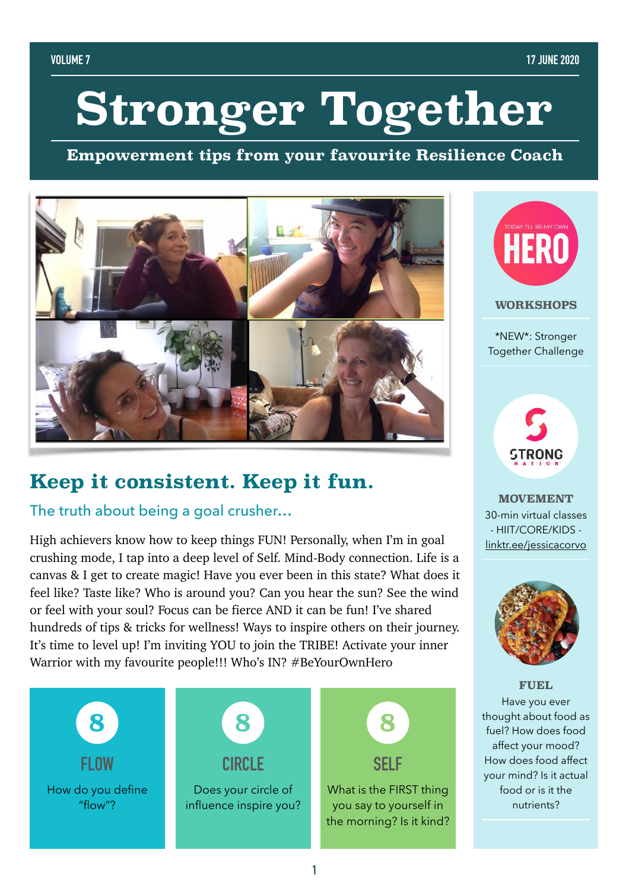# **Stronger Together**

**Empowerment tips from your favourite Resilience Coach**



## **Keep it consistent. Keep it fun.**

### The truth about being a goal crusher...

High achievers know how to keep things FUN! Personally, when I'm in goal crushing mode, I tap into a deep level of Self. Mind-Body connection. Life is a canvas & I get to create magic! Have you ever been in this state? What does it feel like? Taste like? Who is around you? Can you hear the sun? See the wind or feel with your soul? Focus can be fierce AND it can be fun! I've shared hundreds of tips & tricks for wellness! Ways to inspire others on their journey. It's time to level up! I'm inviting YOU to join the TRIBE! Activate your inner Warrior with my favourite people!!! Who's IN? #BeYourOwnHero





\*NEW\*: Stronger Together Challenge



**MOVEMENT**  30-min virtual classes - HIIT/CORE/KIDS [linktr.ee/jessicacorvo](https://linktr.ee/jessicacorvo)



#### **FUEL**

Have you ever thought about food as fuel? How does food affect your mood? How does food affect your mind? Is it actual food or is it the nutrients?